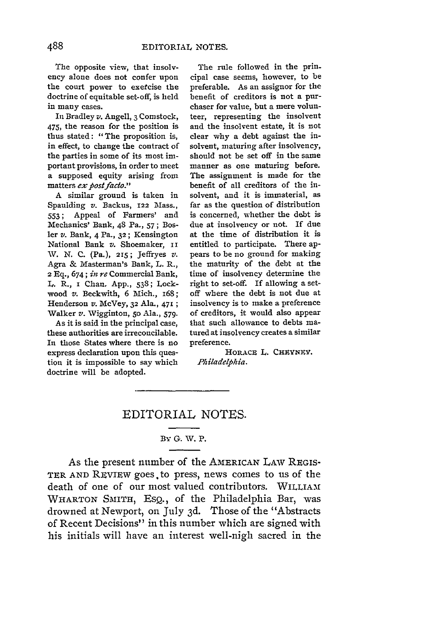The opposite view, that insolvency alone does not confer upon the court power to exercise the doctrine of equitable set-off, is held in many cases.

In Bradley *v.* Angell, 3 Comstock, 475, the reason for the position is thus stated: "The proposition is, in effect, to change the contract of the parties in some of its most important provisions, in order to meet a supposed equity arising from matters *ex post facto.*"

A similar ground is taken in Spaulding *v.* Backus, **122** Mass., 553; Appeal of Farmers' and Mechanics' Bank, 48 Pa., 57; Bosler *v.* Bank, 4 Pa., **32;** Kensington National Bank v. Shoemaker, II W. N. C. (Pa.), **215;** Jeffryes *v.* Agra & Masterman's Bank, L. R., **2** Eq., 674; *in re* Commercial Bank, L. R., i Chan. App., 538; Lockwood *v.* Beckwith, 6 Mich., 168; Henderson *v.* McVey, **32** Ala., **471 ;** Walker *v.* Wigginton, **50** Ala., 579.

As it is said in the principal case, these authorities are irreconcilable. In those States where there is no express declaration upon this question it is impossible to say which doctrine will be adopted.

The rule followed in the principal case seems, however, to be preferable. As an assignor for the benefit of creditors is not a purchaser for value, but a mere volunteer, representing the insolvent and the insolvent estate, it is not clear why a debt against the insolvent, maturing after insolvency, should not be set off in the same manner as one maturing before. The assignment is made for the benefit of all creditors of the insolvent, and it is immaterial, as far as the question of distribution is concerned, whether the debt is due at insolvency or not. If due at the time of distribution it is entitled to participate. There appears to be no ground for making the maturity of the debt at the time of insolvency determine the right to set-off. If allowing a setoff where the debt is not due at insolvency is to make a preference of creditors, it would also appear that such allowance to debts matured at insolvency creates a similar preference.

**HORAcE** L. CHEYNEY. *Philadelphia.*

## EDITORIAL **NOTES.**

## By **G.** V. P.

As the present number of the AMERICAN LAW REGIS-TER AND REVIEW goes. to press, news comes to us of the death of one of our most valued contributors. WILLIAM WHARTON SMITH, EsQ., of the Philadelphia Bar, was drowned at Newport, on July 3d. Those of the "Abstracts of Recent Decisions" in this number which are signed with his initials will have an interest well-nigh sacred in the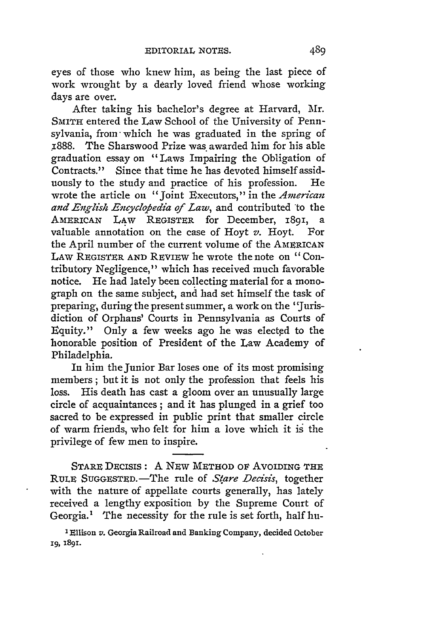eyes of those who knew him, as being the last piece of work wrought **by** a dearly loved friend whose working days are over.

After taking his bachelor's degree at Harvard, Mr. SMITH entered the Law School of the University of Pennsylvania, from which he was graduated in the spring of 1888. The Sharswood Prize was awarded him for his able graduation essay on "Laws Impairing the Obligation of Contracts." Since that time he has devoted himself assiduously to the study and practice of his profession. He wrote the article on "joint Executors, "in the *American* and English Encyclopedia of Law, and contributed to the AMERICAN LAW REGISTER for December, 189i, a valuable annotation on the case of Hoyt *v.* Hoyt. For the April number of the current volume of the AMERICAN LAW REGISTER **AND** REVIEW he wrote the note on "Contributory Negligence," which has received much favorable notice. He had lately been collecting material for a monograph on the same subject, and had set himself the task of preparing, during the present summer, a work on the "Jurisdiction of Orphans' Courts in Pennsylvania as Courts of Equity." Only a few weeks ago he was elected to the honorable position of President of the Law Academy of Philadelphia.

In him the Junior Bar loses one of its most promising members; but it is not only the profession that feels his loss. His death has cast a gloom over an unusually large circle of acquaintances; and it has plunged in a grief too sacred to be expressed in public print that smaller circle of warm friends, who felt for him a love which it is the privilege of few men to inspire.

STARE DECIsIs: A NEw METHOD **OF** AVOIDING THE **RULE** SUGGESTED.-The rule of *S4are Decisis,* together with the nature of appellate courts generally, has lately received a lengthy exposition **by** the Supreme Court of Georgia.' The necessity for the rule is set forth, half hu-

<sup>1</sup> Ellison *v.* Georgia Railroad and Banking Company, decided October **19, 1891.**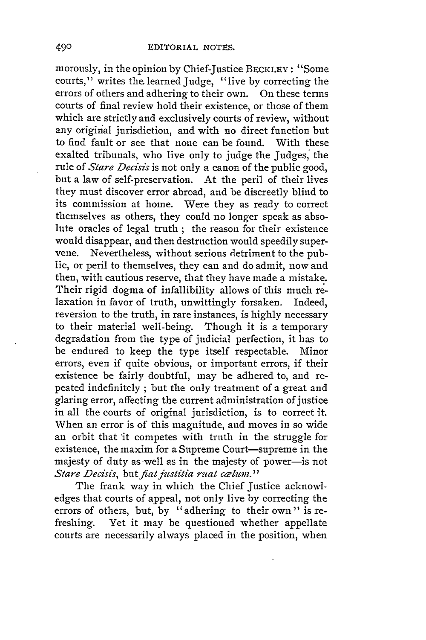morously, in the opinion by Chief-Justice BECKLEY: "Some courts," writes the learned Judge, "live by correcting the errors of others and adhering to their own. On these terms courts of final review hold their existence, or those of them which are strictly and exclusively courts of review, without any original jurisdiction, and with no direct function but to find fault or see that none can be found. With these exalted tribunals, who live only to judge the Judges, the rule of *Stare Decisis* is not only a canon of the public good, but a law of self-preservation. At the peril of their lives they must discover error abroad, and be discreetly blind to its commission at home. Were they as ready to correct themselves as others, they could no longer speak as absolute oracles of legal truth ; the reason for their existence would disappear, and then destruction would speedily supervene. Nevertheless, without serious detriment to the public, or peril to themselves, they can and do admit, now and then, with cautious reserve, that they have made a mistake. Their rigid dogma of infallibility allows of this much relaxation in favor of truth, unwittingly forsaken. Indeed, reversion to the truth, in rare instances, is highly necessary to their material well-being. Though it is a temporary degradation from the type of judicial perfection, it has to be endured to keep the type itself respectable. Minor errors, even if quite obvious, or important errors, if their existence be fairly doubtful, may be adhered to, and repeated indefinitely ; but the only treatment of a great and glaring error, affecting the current administration of justice in all the courts of original jurisdiction, is to correct it. When an error is of this magnitude, and moves in so wide an orbit that 'it competes with truth in the struggle for existence, the maxim for a Supreme Court-supreme in the majesty of duty as well as in the majesty of power-is not *Stare Decisis, but fiat justitia ruat cælum.*"

The frank way in which the Chief Justice acknowledges that courts of appeal, not only live by correcting the errors of others, but, by "adhering to their own" is refreshing. Yet it may be questioned whether appellate courts are necessarily always placed in the position, when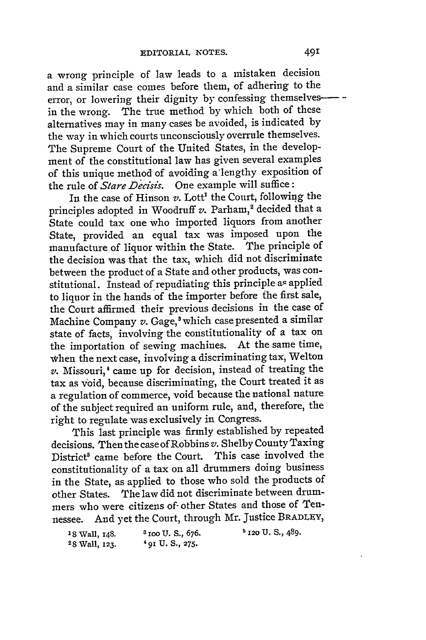a wrong principle of law leads to a mistaken decision and a similar case comes before them, of adhering to the error, or lowering their dignity by confessing themselves-  in the wrong. The true method by which both of these alternatives may in many cases be avoided, is indicated by the way in which courts unconsciously overrule themselves. The Supreme Court of the United States, in the development of the constitutional law has given several examples of this unique method of avoiding a'lengthy exposition of the rule of *Stare Decisis.* One example will suffice:

In the case of Hinson *v*. Lott<sup>1</sup> the Court, following the principles adopted in Woodruff v. Parham,<sup>2</sup> decided that a State could tax one who imported liquors from another State, provided an equal tax was imposed upon the manufacture of liquor within the State. The principle of the decision was that the tax, which did not discriminate between the product of a State and other products, was constitutional. Instead of repudiating this principle az applied to liquor in the hands of the importer before the first sale, the Court affirmed their previous decisions in the case of Machine Company *v*. Gage,<sup>3</sup> which case presented a similar state of facts, involving the constitutionality of a tax on the importation of sewing machines. At the same time, when the next case, involving a discriminating tax, Welton *v.* Missouri,' came up for decision, instead of treating the tax as void, because discriminating, the Court treated it as a regulation of commerce, void because the national nature of the subject required an uniform rule, and, therefore, the right to regulate was exclusively in Congress.

This last principle was firmly established by repeated decisions. Then the case of Robbins *v.* Shelby County Taxing District<sup>5</sup> came before the Court. This case involved the constitutionality of a tax on all drummers doing business in the State, as applied to those who sold the products of other States. The law did not discriminate between drummers who were citizens of- other States and those of Tennessee. And yet the Court, through Mr. Justice BRADLEY,

| 18 Wall, 148. | $3$ 100 U.S., 676. | <sup>5</sup> 120 U.S., 489. |
|---------------|--------------------|-----------------------------|
| 28 Wall, 123. | $4$ 91 U.S., 275.  |                             |